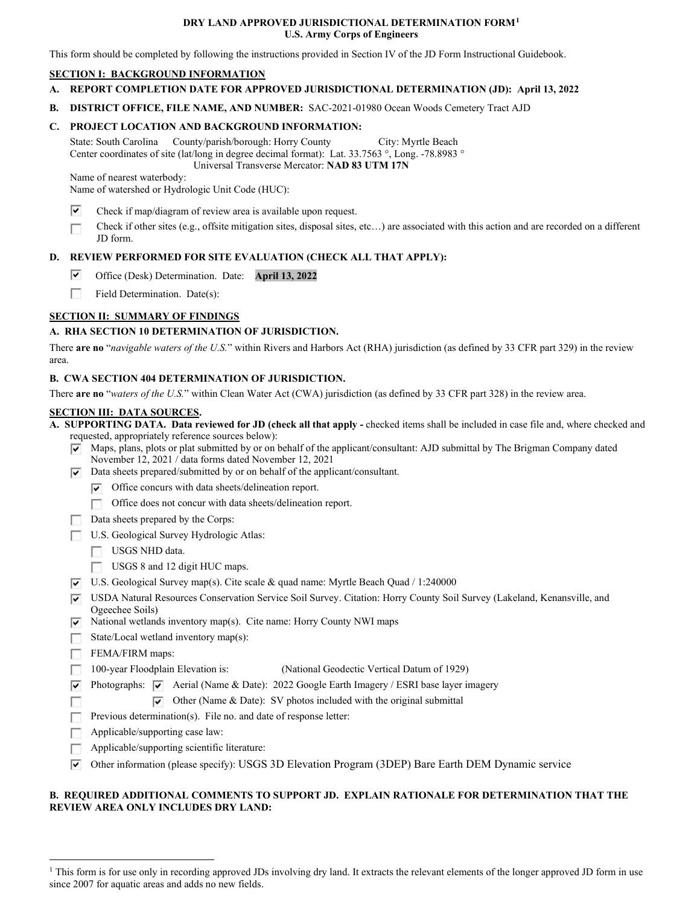#### **DRY LAND APPROVED JURISDICTIONAL DETERMINATION FORM[1](#page-0-0) U.S. Army Corps of Engineers**

This form should be completed by following the instructions provided in Section IV of the JD Form Instructional Guidebook.

## **SECTION I: BACKGROUND INFORMATION**

- **A. REPORT COMPLETION DATE FOR APPROVED JURISDICTIONAL DETERMINATION (JD): April 13, 2022**
- **B. DISTRICT OFFICE, FILE NAME, AND NUMBER:** SAC-2021-01980 Ocean Woods Cemetery Tract AJD

# **C. PROJECT LOCATION AND BACKGROUND INFORMATION:**

State: South Carolina County/parish/borough: Horry County City: Myrtle Beach Center coordinates of site (lat/long in degree decimal format): Lat. 33.7563 °, Long. -78.8983 °

Universal Transverse Mercator: **NAD 83 UTM 17N**

Name of nearest waterbody:

Name of watershed or Hydrologic Unit Code (HUC):

- Check if map/diagram of review area is available upon request.  $\overline{\mathbf{v}}$
- Check if other sites (e.g., offsite mitigation sites, disposal sites, etc…) are associated with this action and are recorded on a different JD form.  $\Box$

## **D. REVIEW PERFORMED FOR SITE EVALUATION (CHECK ALL THAT APPLY):**

- Office (Desk) Determination. Date: **April 13, 2022**  $\overline{\mathbf{v}}$
- Field Determination. Date(s):  $\overline{\phantom{a}}$

## **SECTION II: SUMMARY OF FINDINGS**

## **A. RHA SECTION 10 DETERMINATION OF JURISDICTION.**

There **are no** "*navigable waters of the U.S.*" within Rivers and Harbors Act (RHA) jurisdiction (as defined by 33 CFR part 329) in the review area.

#### **B. CWA SECTION 404 DETERMINATION OF JURISDICTION.**

There **are no** "*waters of the U.S.*" within Clean Water Act (CWA) jurisdiction (as defined by 33 CFR part 328) in the review area.

#### **SECTION III: DATA SOURCES.**

**A. SUPPORTING DATA. Data reviewed for JD (check all that apply -** checked items shall be included in case file and, where checked and requested, appropriately reference sources below):

- $\triangledown$  Maps, plans, plots or plat submitted by or on behalf of the applicant/consultant: AJD submittal by The Brigman Company dated November 12, 2021 / data forms dated November 12, 2021
- $\nabla$  Data sheets prepared/submitted by or on behalf of the applicant/consultant.
	- $\triangledown$  Office concurs with data sheets/delineation report.
		- Office does not concur with data sheets/delineation report.  $\sim$
- Data sheets prepared by the Corps:  $\overline{y}$
- U.S. Geological Survey Hydrologic Atlas:
	- USGS NHD data.
	- USGS 8 and 12 digit HUC maps.
- $\triangledown$  U.S. Geological Survey map(s). Cite scale & quad name: Myrtle Beach Quad / 1:240000
- USDA Natural Resources Conservation Service Soil Survey. Citation: Horry County Soil Survey (Lakeland, Kenansville, and Ogeechee Soils)
- $\triangledown$  National wetlands inventory map(s). Cite name: Horry County NWI maps
- State/Local wetland inventory map(s):
- FEMA/FIRM maps:

 $\Box$ 

- (National Geodectic Vertical Datum of 1929)  $\Box$  100-year Floodplain Elevation is:
- $\triangledown$  Photographs:  $\triangledown$  Aerial (Name & Date): 2022 Google Earth Imagery / ESRI base layer imagery
	- $\nabla$  Other (Name & Date): SV photos included with the original submittal
- $\Box$  Previous determination(s). File no. and date of response letter:
- $\Box$  Applicable/supporting case law:
- $\Box$  Applicable/supporting scientific literature:
- $\triangledown$  Other information (please specify): USGS 3D Elevation Program (3DEP) Bare Earth DEM Dynamic service

# **B. REQUIRED ADDITIONAL COMMENTS TO SUPPORT JD. EXPLAIN RATIONALE FOR DETERMINATION THAT THE REVIEW AREA ONLY INCLUDES DRY LAND:**

<span id="page-0-0"></span><sup>&</sup>lt;sup>1</sup> This form is for use only in recording approved JDs involving dry land. It extracts the relevant elements of the longer approved JD form in use since 2007 for aquatic areas and adds no new fields.